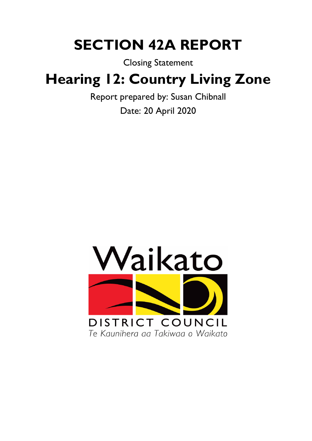## **SECTION 42A REPORT**

Closing Statement

## **Hearing 12: Country Living Zone**

Report prepared by: Susan Chibnall Date: 20 April 2020

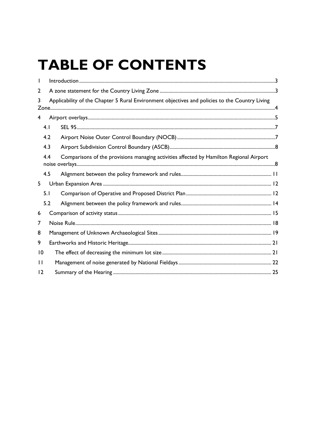# **TABLE OF CONTENTS**

| I            |     |                                                                                                |  |  |
|--------------|-----|------------------------------------------------------------------------------------------------|--|--|
| 2            |     |                                                                                                |  |  |
| 3            |     | Applicability of the Chapter 5 Rural Environment objectives and policies to the Country Living |  |  |
| 4            |     |                                                                                                |  |  |
|              | 4.1 |                                                                                                |  |  |
|              | 4.2 |                                                                                                |  |  |
|              | 4.3 |                                                                                                |  |  |
|              | 4.4 | Comparisons of the provisions managing activities affected by Hamilton Regional Airport        |  |  |
|              | 4.5 |                                                                                                |  |  |
| 5            |     |                                                                                                |  |  |
|              | 5.1 |                                                                                                |  |  |
|              | 5.2 |                                                                                                |  |  |
| 6            |     |                                                                                                |  |  |
| 7            |     |                                                                                                |  |  |
| 8            |     |                                                                                                |  |  |
| 9            |     |                                                                                                |  |  |
| 10           |     |                                                                                                |  |  |
| $\mathsf{H}$ |     |                                                                                                |  |  |
| 12           |     |                                                                                                |  |  |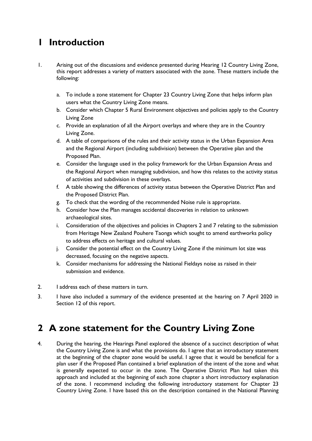### <span id="page-2-0"></span>**1 Introduction**

- 1. Arising out of the discussions and evidence presented during Hearing 12 Country Living Zone, this report addresses a variety of matters associated with the zone. These matters include the following:
	- a. To include a zone statement for Chapter 23 Country Living Zone that helps inform plan users what the Country Living Zone means.
	- b. Consider which Chapter 5 Rural Environment objectives and policies apply to the Country Living Zone
	- c. Provide an explanation of all the Airport overlays and where they are in the Country Living Zone.
	- d. A table of comparisons of the rules and their activity status in the Urban Expansion Area and the Regional Airport (including subdivision) between the Operative plan and the Proposed Plan.
	- e. Consider the language used in the policy framework for the Urban Expansion Areas and the Regional Airport when managing subdivision, and how this relates to the activity status of activities and subdivision in these overlays.
	- f. A table showing the differences of activity status between the Operative District Plan and the Proposed District Plan.
	- g. To check that the wording of the recommended Noise rule is appropriate.
	- h. Consider how the Plan manages accidental discoveries in relation to unknown archaeological sites.
	- i. Consideration of the objectives and policies in Chapters 2 and 7 relating to the submission from Heritage New Zealand Pouhere Taonga which sought to amend earthworks policy to address effects on heritage and cultural values.
	- j. Consider the potential effect on the Country Living Zone if the minimum lot size was decreased, focusing on the negative aspects.
	- k. Consider mechanisms for addressing the National Fieldays noise as raised in their submission and evidence.
- 2. I address each of these matters in turn.
- 3. I have also included a summary of the evidence presented at the hearing on 7 April 2020 in Section 12 of this report.

### <span id="page-2-1"></span>**2 A zone statement for the Country Living Zone**

4. During the hearing, the Hearings Panel explored the absence of a succinct description of what the Country Living Zone is and what the provisions do. I agree that an introductory statement at the beginning of the chapter zone would be useful. I agree that it would be beneficial for a plan user if the Proposed Plan contained a brief explanation of the intent of the zone and what is generally expected to occur in the zone. The Operative District Plan had taken this approach and included at the beginning of each zone chapter a short introductory explanation of the zone. I recommend including the following introductory statement for Chapter 23 Country Living Zone. I have based this on the description contained in the National Planning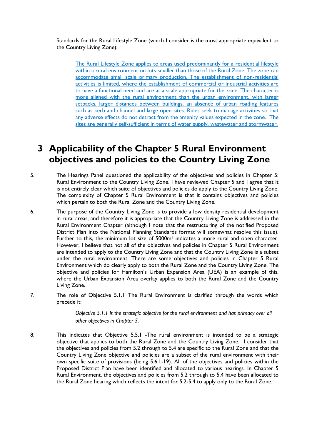Standards for the Rural Lifestyle Zone (which I consider is the most appropriate equivalent to the Country Living Zone):

The Rural Lifestyle Zone applies to areas used predominantly for a residential lifestyle within a rural environment on lots smaller than those of the Rural Zone. The zone can accommodate small scale primary production. The establishment of non-residential activities is limited, where the establishment of commercial or industrial activities are to have a functional need and are at a scale appropriate for the zone. The character is more aligned with the rural environment than the urban environment, with larger setbacks, larger distances between buildings, an absence of urban roading features such as kerb and channel and large open sites. Rules seek to manage activities so that any adverse effects do not detract from the amenity values expected in the zone. The sites are generally self-sufficient in terms of water supply, wastewater and stormwater.

### <span id="page-3-0"></span>**3 Applicability of the Chapter 5 Rural Environment objectives and policies to the Country Living Zone**

- 5. The Hearings Panel questioned the applicability of the objectives and policies in Chapter 5: Rural Environment to the Country Living Zone. I have reviewed Chapter 5 and I agree that it is not entirely clear which suite of objectives and policies do apply to the Country Living Zone. The complexity of Chapter 5 Rural Environment is that it contains objectives and policies which pertain to both the Rural Zone and the Country Living Zone.
- 6. The purpose of the Country Living Zone is to provide a low density residential development in rural areas, and therefore it is appropriate that the Country Living Zone is addressed in the Rural Environment Chapter (although I note that the restructuring of the notified Proposed District Plan into the National Planning Standards format will somewhat resolve this issue). Further to this, the minimum lot size of 5000m<sup>2</sup> indicates a more rural and open character. However, I believe that not all of the objectives and policies in Chapter 5 Rural Environment are intended to apply to the Country Living Zone and that the Country Living Zone is a subset under the rural environment. There are some objectives and policies in Chapter 5 Rural Environment which do clearly apply to both the Rural Zone and the Country Living Zone. The objective and policies for Hamilton's Urban Expansion Area (UEA) is an example of this, where the Urban Expansion Area overlay applies to both the Rural Zone and the Country Living Zone.
- 7. The role of Objective 5.1.1 The Rural Environment is clarified through the words which precede it:

*Objective 5.1.1 is the strategic objective for the rural environment and has primacy over all other objectives in Chapter 5.*

8. This indicates that Objective 5.5.1 - The rural environment is intended to be a strategic objective that applies to both the Rural Zone and the Country Living Zone. I consider that the objectives and policies from 5.2 through to 5.4 are specific to the Rural Zone and that the Country Living Zone objective and policies are a subset of the rural environment with their own specific suite of provisions (being 5.6.1-19). All of the objectives and policies within the Proposed District Plan have been identified and allocated to various hearings. In Chapter 5 Rural Environment, the objectives and policies from 5.2 through to 5.4 have been allocated to the Rural Zone hearing which reflects the intent for 5.2-5.4 to apply only to the Rural Zone.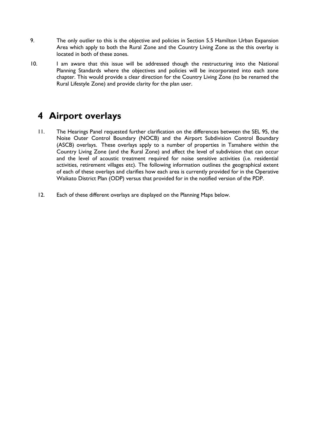- 9. The only outlier to this is the objective and policies in Section 5.5 Hamilton Urban Expansion Area which apply to both the Rural Zone and the Country Living Zone as the this overlay is located in both of these zones.
- 10. I am aware that this issue will be addressed though the restructuring into the National Planning Standards where the objectives and policies will be incorporated into each zone chapter. This would provide a clear direction for the Country Living Zone (to be renamed the Rural Lifestyle Zone) and provide clarity for the plan user.

### <span id="page-4-0"></span>**4 Airport overlays**

- 11. The Hearings Panel requested further clarification on the differences between the SEL 95, the Noise Outer Control Boundary (NOCB) and the Airport Subdivision Control Boundary (ASCB) overlays. These overlays apply to a number of properties in Tamahere within the Country Living Zone (and the Rural Zone) and affect the level of subdivision that can occur and the level of acoustic treatment required for noise sensitive activities (i.e. residential activities, retirement villages etc). The following information outlines the geographical extent of each of these overlays and clarifies how each area is currently provided for in the Operative Waikato District Plan (ODP) versus that provided for in the notified version of the PDP.
- 12. Each of these different overlays are displayed on the Planning Maps below.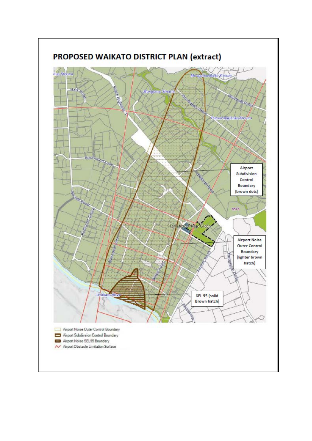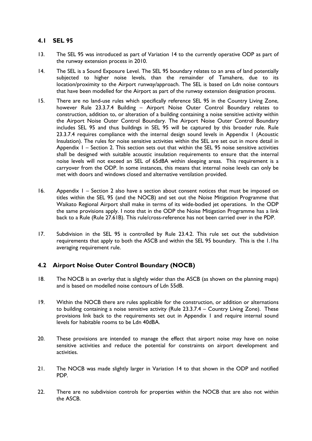### <span id="page-6-0"></span>**4.1 SEL 95**

- 13. The SEL 95 was introduced as part of Variation 14 to the currently operative ODP as part of the runway extension process in 2010.
- 14. The SEL is a Sound Exposure Level. The SEL 95 boundary relates to an area of land potentially subjected to higher noise levels, than the remainder of Tamahere, due to its location/proximity to the Airport runway/approach. The SEL is based on Ldn noise contours that have been modelled for the Airport as part of the runway extension designation process.
- 15. There are no land-use rules which specifically reference SEL 95 in the Country Living Zone, however Rule 23.3.7.4 Building – Airport Noise Outer Control Boundary relates to construction, addition to, or alteration of a building containing a noise sensitive activity within the Airport Noise Outer Control Boundary. The Airport Noise Outer Control Boundary includes SEL 95 and thus buildings in SEL 95 will be captured by this broader rule. Rule 23.3.7.4 requires compliance with the internal design sound levels in Appendix 1 (Acoustic Insulation). The rules for noise sensitive activities within the SEL are set out in more detail in Appendix 1 – Section 2. This section sets out that within the SEL 95 noise sensitive activities shall be designed with suitable acoustic insulation requirements to ensure that the internal noise levels will not exceed an SEL of 65dBA within sleeping areas. This requirement is a carryover from the ODP. In some instances, this means that internal noise levels can only be met with doors and windows closed and alternative ventilation provided.
- 16. Appendix 1 Section 2 also have a section about consent notices that must be imposed on titles within the SEL 95 (and the NOCB) and set out the Noise Mitigation Programme that Waikato Regional Airport shall make in terms of its wide-bodied jet operations. In the ODP the same provisions apply. I note that in the ODP the Noise Mitigation Programme has a link back to a Rule (Rule 27.61B). This rule/cross-reference has not been carried over in the PDP.
- 17. Subdivision in the SEL 95 is controlled by Rule 23.4.2. This rule set out the subdivision requirements that apply to both the ASCB and within the SEL 95 boundary. This is the 1.1ha averaging requirement rule.

### <span id="page-6-1"></span>**4.2 Airport Noise Outer Control Boundary (NOCB)**

- 18. The NOCB is an overlay that is slightly wider than the ASCB (as shown on the planning maps) and is based on modelled noise contours of Ldn 55dB.
- 19. Within the NOCB there are rules applicable for the construction, or addition or alternations to building containing a noise sensitive activity (Rule 23.3.7.4 – Country Living Zone). These provisions link back to the requirements set out in Appendix 1 and require internal sound levels for habitable rooms to be Ldn 40dBA.
- 20. These provisions are intended to manage the effect that airport noise may have on noise sensitive activities and reduce the potential for constraints on airport development and activities.
- 21. The NOCB was made slightly larger in Variation 14 to that shown in the ODP and notified PDP.
- 22. There are no subdivision controls for properties within the NOCB that are also not within the ASCB.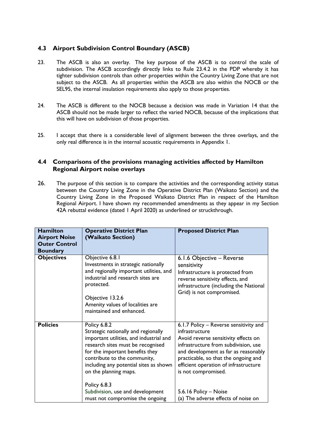### <span id="page-7-0"></span>**4.3 Airport Subdivision Control Boundary (ASCB)**

- 23. The ASCB is also an overlay. The key purpose of the ASCB is to control the scale of subdivision. The ASCB accordingly directly links to Rule 23.4.2 in the PDP whereby it has tighter subdivision controls than other properties within the Country Living Zone that are not subject to the ASCB. As all properties within the ASCB are also within the NOCB or the SEL95, the internal insulation requirements also apply to those properties.
- 24. The ASCB is different to the NOCB because a decision was made in Variation 14 that the ASCB should not be made larger to reflect the varied NOCB, because of the implications that this will have on subdivision of those properties.
- 25. I accept that there is a considerable level of alignment between the three overlays, and the only real difference is in the internal acoustic requirements in Appendix 1.

### <span id="page-7-1"></span>**4.4 Comparisons of the provisions managing activities affected by Hamilton Regional Airport noise overlays**

26. The purpose of this section is to compare the activities and the corresponding activity status between the Country Living Zone in the Operative District Plan (Waikato Section) and the Country Living Zone in the Proposed Waikato District Plan in respect of the Hamilton Regional Airport. I have shown my recommended amendments as they appear in my Section 42A rebuttal evidence (dated 1 April 2020) as underlined or struckthrough.

| <b>Hamilton</b><br><b>Airport Noise</b><br><b>Outer Control</b><br><b>Boundary</b> | <b>Operative District Plan</b><br>(Waikato Section)                                                                                                                                                                                                                                                                                                                            | <b>Proposed District Plan</b>                                                                                                                                                                                                                                                                                                                            |
|------------------------------------------------------------------------------------|--------------------------------------------------------------------------------------------------------------------------------------------------------------------------------------------------------------------------------------------------------------------------------------------------------------------------------------------------------------------------------|----------------------------------------------------------------------------------------------------------------------------------------------------------------------------------------------------------------------------------------------------------------------------------------------------------------------------------------------------------|
| <b>Objectives</b>                                                                  | Objective 6.8.1<br>Investments in strategic nationally<br>and regionally important utilities, and<br>industrial and research sites are<br>protected.<br>Objective 13.2.6<br>Amenity values of localities are<br>maintained and enhanced.                                                                                                                                       | 6.1.6 Objective - Reverse<br>sensitivity<br>Infrastructure is protected from<br>reverse sensitivity effects, and<br>infrastructure (including the National<br>Grid) is not compromised.                                                                                                                                                                  |
| <b>Policies</b>                                                                    | <b>Policy 6.8.2</b><br>Strategic nationally and regionally<br>important utilities, and industrial and<br>research sites must be recognised<br>for the important benefits they<br>contribute to the community,<br>including any potential sites as shown<br>on the planning maps.<br><b>Policy 6.8.3</b><br>Subdivision, use and development<br>must not compromise the ongoing | 6.1.7 Policy - Reverse sensitivity and<br>infrastructure<br>Avoid reverse sensitivity effects on<br>infrastructure from subdivision, use<br>and development as far as reasonably<br>practicable, so that the ongoing and<br>efficient operation of infrastructure<br>is not compromised.<br>5.6.16 Policy - Noise<br>(a) The adverse effects of noise on |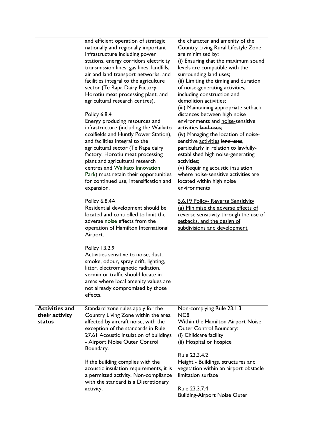|                       | and efficient operation of strategic<br>nationally and regionally important  | the character and amenity of the<br><b>Country Living Rural Lifestyle Zone</b> |
|-----------------------|------------------------------------------------------------------------------|--------------------------------------------------------------------------------|
|                       | infrastructure including power                                               | are minimised by:                                                              |
|                       | stations, energy corridors electricity                                       | (i) Ensuring that the maximum sound                                            |
|                       | transmission lines, gas lines, landfills,                                    | levels are compatible with the                                                 |
|                       | air and land transport networks, and                                         | surrounding land uses;                                                         |
|                       | facilities integral to the agriculture                                       | (ii) Limiting the timing and duration                                          |
|                       | sector (Te Rapa Dairy Factory,                                               | of noise-generating activities,                                                |
|                       | Horotiu meat processing plant, and                                           | including construction and                                                     |
|                       | agricultural research centres).                                              | demolition activities;                                                         |
|                       |                                                                              | (iii) Maintaining appropriate setback                                          |
|                       | <b>Policy 6.8.4</b>                                                          | distances between high noise                                                   |
|                       | Energy producing resources and                                               | environments and noise-sensitive                                               |
|                       | infrastructure (including the Waikato                                        | activities land uses;                                                          |
|                       | coalfields and Huntly Power Station),                                        | (iv) Managing the location of noise-                                           |
|                       | and facilities integral to the                                               | sensitive activities land uses,                                                |
|                       | agricultural sector (Te Rapa dairy                                           | particularly in relation to lawfully-                                          |
|                       | factory, Horotiu meat processing                                             | established high noise-generating                                              |
|                       | plant and agricultural research                                              | activities;                                                                    |
|                       | centres and Waikato Innovation                                               | (v) Requiring acoustic insulation                                              |
|                       | Park) must retain their opportunities                                        | where noise-sensitive activities are                                           |
|                       | for continued use, intensification and                                       | located within high noise                                                      |
|                       | expansion.                                                                   | environments                                                                   |
|                       |                                                                              |                                                                                |
|                       | Policy 6.8.4A                                                                | <b>5.6.19 Policy- Reverse Sensitivity</b>                                      |
|                       | Residential development should be                                            | (a) Minimise the adverse effects of                                            |
|                       | located and controlled to limit the                                          | reverse sensitivity through the use of                                         |
|                       | adverse noise effects from the                                               | setbacks, and the design of                                                    |
|                       | operation of Hamilton International                                          | subdivisions and development                                                   |
|                       | Airport.                                                                     |                                                                                |
|                       | Policy 13.2.9                                                                |                                                                                |
|                       | Activities sensitive to noise, dust,                                         |                                                                                |
|                       | smoke, odour, spray drift, lighting,                                         |                                                                                |
|                       | litter, electromagnetic radiation,                                           |                                                                                |
|                       | vermin or traffic should locate in                                           |                                                                                |
|                       | areas where local amenity values are                                         |                                                                                |
|                       | not already compromised by those                                             |                                                                                |
|                       | effects.                                                                     |                                                                                |
| <b>Activities and</b> |                                                                              |                                                                                |
|                       | Standard zone rules apply for the                                            | Non-complying Rule 23.1.3<br>NC <sub>8</sub>                                   |
| their activity        | Country Living Zone within the area                                          | Within the Hamilton Airport Noise                                              |
| status                | affected by aircraft noise, with the                                         |                                                                                |
|                       | exception of the standards in Rule<br>27.61 Acoustic insulation of buildings | Outer Control Boundary:<br>(i) Childcare facility                              |
|                       |                                                                              |                                                                                |
|                       | - Airport Noise Outer Control<br>Boundary.                                   | (ii) Hospital or hospice                                                       |
|                       |                                                                              | Rule 23.3.4.2                                                                  |
|                       | If the building complies with the                                            | Height - Buildings, structures and                                             |
|                       | acoustic insulation requirements, it is                                      | vegetation within an airport obstacle                                          |
|                       | a permitted activity. Non-compliance                                         | limitation surface                                                             |
|                       | with the standard is a Discretionary                                         |                                                                                |
|                       | activity.                                                                    | Rule 23.3.7.4                                                                  |
|                       |                                                                              | <b>Building-Airport Noise Outer</b>                                            |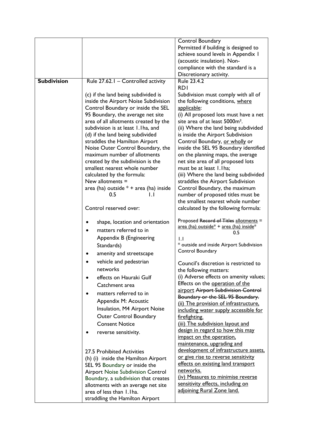|                    |                                                       | Control Boundary                                                               |
|--------------------|-------------------------------------------------------|--------------------------------------------------------------------------------|
|                    |                                                       | Permitted if building is designed to                                           |
|                    |                                                       | achieve sound levels in Appendix I                                             |
|                    |                                                       | (acoustic insulation). Non-                                                    |
|                    |                                                       | compliance with the standard is a                                              |
|                    |                                                       | Discretionary activity.                                                        |
| <b>Subdivision</b> | Rule 27.62.1 - Controlled activity                    | Rule 23.4.2                                                                    |
|                    |                                                       | <b>RDI</b>                                                                     |
|                    | (c) if the land being subdivided is                   | Subdivision must comply with all of                                            |
|                    | inside the Airport Noise Subdivision                  | the following conditions, where                                                |
|                    | Control Boundary or inside the SEL                    | applicable:                                                                    |
|                    | 95 Boundary, the average net site                     | (i) All proposed lots must have a net                                          |
|                    | area of all allotments created by the                 | site area of at least 5000m <sup>2</sup> .                                     |
|                    | subdivision is at least 1.1ha, and                    | (ii) Where the land being subdivided                                           |
|                    | (d) if the land being subdivided                      | is inside the Airport Subdivision                                              |
|                    | straddles the Hamilton Airport                        | Control Boundary, or wholly or                                                 |
|                    | Noise Outer Control Boundary, the                     | inside the SEL 95 Boundary identified                                          |
|                    | maximum number of allotments                          | on the planning maps, the average                                              |
|                    | created by the subdivision is the                     | net site area of all proposed lots                                             |
|                    | smallest nearest whole number                         | must be at least 1.1ha;                                                        |
|                    | calculated by the formula:<br>New allotments =        | (iii) Where the land being subdivided                                          |
|                    |                                                       | straddles the Airport Subdivision                                              |
|                    | area (ha) outside $*$ + area (ha) inside<br>0.5<br>IJ | Control Boundary, the maximum<br>number of proposed titles must be             |
|                    |                                                       | the smallest nearest whole number                                              |
|                    | Control reserved over:                                | calculated by the following formula:                                           |
|                    |                                                       |                                                                                |
|                    | shape, location and orientation                       | Proposed Record of Titles allotments =                                         |
|                    | matters referred to in                                | area (ha) outside* + area (ha) inside*                                         |
|                    | Appendix B (Engineering                               | 0.5                                                                            |
|                    | Standards)                                            | 1.1<br>* outside and inside Airport Subdivision                                |
|                    |                                                       | Control Boundary                                                               |
|                    | amenity and streetscape                               |                                                                                |
|                    | vehicle and pedestrian                                | Council's discretion is restricted to                                          |
|                    | networks                                              | the following matters:                                                         |
|                    | effects on Hauraki Gulf                               | (i) Adverse effects on amenity values;                                         |
|                    | Catchment area                                        | Effects on the operation of the                                                |
|                    | matters referred to in                                | airport Airport Subdivision Control                                            |
|                    | Appendix M: Acoustic                                  | Boundary or the SEL 95 Boundary.                                               |
|                    | Insulation, M4 Airport Noise                          | (ii) The provision of infrastructure,<br>including water supply accessible for |
|                    | <b>Outer Control Boundary</b>                         | firefighting.                                                                  |
|                    | <b>Consent Notice</b>                                 | (iii) The subdivision layout and                                               |
|                    | reverse sensitivity.                                  | design in regard to how this may                                               |
|                    |                                                       | impact on the operation,                                                       |
|                    |                                                       | maintenance, upgrading and                                                     |
|                    | 27.5 Prohibited Activities                            | development of infrastructure assets.                                          |
|                    | (h) (i) inside the Hamilton Airport                   | or give rise to reverse sensitivity                                            |
|                    | SEL 95 Boundary or inside the                         | effects on existing land transport                                             |
|                    | <b>Airport Noise Subdivision Control</b>              | networks.                                                                      |
|                    | Boundary, a subdivision that creates                  | (iv) Measures to minimise reverse                                              |
|                    | allotments with an average net site                   | sensitivity effects, including on                                              |
|                    | area of less than 1.1ha.                              | adjoining Rural Zone land.                                                     |
|                    | straddling the Hamilton Airport                       |                                                                                |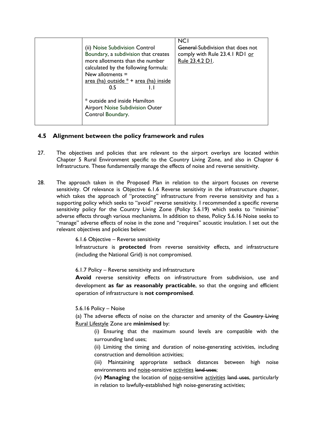| (ii) Noise Subdivision Control<br>Boundary, a subdivision that creates<br>more allotments than the number<br>calculated by the following formula:<br>New allotments $=$<br><u>area (ha) outside <math>*</math> + area (ha) inside</u><br>0.5 | <b>NCI</b><br><b>General-Subdivision that does not</b><br>comply with Rule 23.4.1 RD1 or<br>Rule 23.4.2 D1. |
|----------------------------------------------------------------------------------------------------------------------------------------------------------------------------------------------------------------------------------------------|-------------------------------------------------------------------------------------------------------------|
| * outside and inside Hamilton<br><b>Airport Noise Subdivision Outer</b><br>Control Boundary.                                                                                                                                                 |                                                                                                             |

### <span id="page-10-0"></span>**4.5 Alignment between the policy framework and rules**

- 27. The objectives and policies that are relevant to the airport overlays are located within Chapter 5 Rural Environment specific to the Country Living Zone, and also in Chapter 6 Infrastructure. These fundamentally manage the effects of noise and reverse sensitivity.
- 28. The approach taken in the Proposed Plan in relation to the airport focuses on reverse sensitivity. Of relevance is Objective 6.1.6 Reverse sensitivity in the infrastructure chapter, which takes the approach of "protecting" infrastructure from reverse sensitivity and has a supporting policy which seeks to "avoid" reverse sensitivity. I recommended a specific reverse sensitivity policy for the Country Living Zone (Policy 5.6.19) which seeks to "minimise" adverse effects through various mechanisms. In addition to these, Policy 5.6.16 Noise seeks to "manage" adverse effects of noise in the zone and "requires" acoustic insulation. I set out the relevant objectives and policies below:

6.1.6 Objective – Reverse sensitivity

Infrastructure is **protected** from reverse sensitivity effects, and infrastructure (including the National Grid) is not compromised.

6.1.7 Policy – Reverse sensitivity and infrastructure

**Avoid** reverse sensitivity effects on infrastructure from subdivision, use and development **as far as reasonably practicable**, so that the ongoing and efficient operation of infrastructure is **not compromised**.

5.6.16 Policy – Noise

(a) The adverse effects of noise on the character and amenity of the Country Living Rural Lifestyle Zone are **minimised** by:

(i) Ensuring that the maximum sound levels are compatible with the surrounding land uses;

(ii) Limiting the timing and duration of noise-generating activities, including construction and demolition activities;

(iii) Maintaining appropriate setback distances between high noise environments and noise-sensitive activities land uses;

(iv) **Managing** the location of noise-sensitive activities land uses, particularly in relation to lawfully-established high noise-generating activities;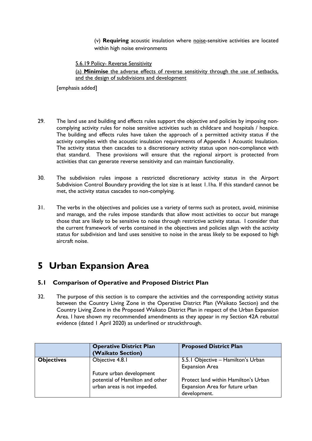(v) **Requiring** acoustic insulation where noise-sensitive activities are located within high noise environments

5.6.19 Policy- Reverse Sensitivity

(a) **Minimise** the adverse effects of reverse sensitivity through the use of setbacks, and the design of subdivisions and development

[emphasis added]

- 29. The land use and building and effects rules support the objective and policies by imposing noncomplying activity rules for noise sensitive activities such as childcare and hospitals / hospice. The building and effects rules have taken the approach of a permitted activity status if the activity complies with the acoustic insulation requirements of Appendix 1 Acoustic Insulation. The activity status then cascades to a discretionary activity status upon non-compliance with that standard. These provisions will ensure that the regional airport is protected from activities that can generate reverse sensitivity and can maintain functionality.
- 30. The subdivision rules impose a restricted discretionary activity status in the Airport Subdivision Control Boundary providing the lot size is at least 1.1ha. If this standard cannot be met, the activity status cascades to non-complying.
- 31. The verbs in the objectives and policies use a variety of terms such as protect, avoid, minimise and manage, and the rules impose standards that allow most activities to occur but manage those that are likely to be sensitive to noise through restrictive activity status. I consider that the current framework of verbs contained in the objectives and policies align with the activity status for subdivision and land uses sensitive to noise in the areas likely to be exposed to high aircraft noise.

### <span id="page-11-0"></span>**5 Urban Expansion Area**

### <span id="page-11-1"></span>**5.1 Comparison of Operative and Proposed District Plan**

32. The purpose of this section is to compare the activities and the corresponding activity status between the Country Living Zone in the Operative District Plan (Waikato Section) and the Country Living Zone in the Proposed Waikato District Plan in respect of the Urban Expansion Area. I have shown my recommended amendments as they appear in my Section 42A rebuttal evidence (dated 1 April 2020) as underlined or struckthrough.

|                   | <b>Operative District Plan</b><br>(Waikato Section) | <b>Proposed District Plan</b>        |
|-------------------|-----------------------------------------------------|--------------------------------------|
| <b>Objectives</b> | Objective 4.8.1                                     | 5.5.1 Objective - Hamilton's Urban   |
|                   |                                                     | <b>Expansion Area</b>                |
|                   | Future urban development                            |                                      |
|                   | potential of Hamilton and other                     | Protect land within Hamilton's Urban |
|                   | urban areas is not impeded.                         | Expansion Area for future urban      |
|                   |                                                     | development.                         |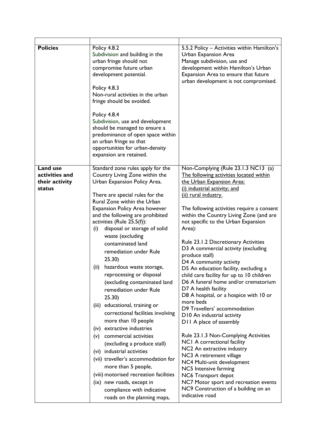| <b>Policies</b>                                               | Policy 4.8.2<br>Subdivision and building in the<br>urban fringe should not<br>compromise future urban<br>development potential.<br>Policy 4.8.3<br>Non-rural activities in the urban<br>fringe should be avoided.<br>Policy 4.8.4<br>Subdivision, use and development                                                                                                                                                                                                                                                                                                                                                                                                                                                                                                                                                                                                                                                                                              | 5.5.2 Policy - Activities within Hamilton's<br>Urban Expansion Area<br>Manage subdivision, use and<br>development within Hamilton's Urban<br>Expansion Area to ensure that future<br>urban development is not compromised.                                                                                                                                                                                                                                                                                                                                                                                                                                                                                                                                                                                                                                                                                                                                                                                                                                         |
|---------------------------------------------------------------|--------------------------------------------------------------------------------------------------------------------------------------------------------------------------------------------------------------------------------------------------------------------------------------------------------------------------------------------------------------------------------------------------------------------------------------------------------------------------------------------------------------------------------------------------------------------------------------------------------------------------------------------------------------------------------------------------------------------------------------------------------------------------------------------------------------------------------------------------------------------------------------------------------------------------------------------------------------------|--------------------------------------------------------------------------------------------------------------------------------------------------------------------------------------------------------------------------------------------------------------------------------------------------------------------------------------------------------------------------------------------------------------------------------------------------------------------------------------------------------------------------------------------------------------------------------------------------------------------------------------------------------------------------------------------------------------------------------------------------------------------------------------------------------------------------------------------------------------------------------------------------------------------------------------------------------------------------------------------------------------------------------------------------------------------|
|                                                               | should be managed to ensure a<br>predominance of open space within<br>an urban fringe so that<br>opportunities for urban-density<br>expansion are retained.                                                                                                                                                                                                                                                                                                                                                                                                                                                                                                                                                                                                                                                                                                                                                                                                        |                                                                                                                                                                                                                                                                                                                                                                                                                                                                                                                                                                                                                                                                                                                                                                                                                                                                                                                                                                                                                                                                    |
| <b>Land use</b><br>activities and<br>their activity<br>status | Standard zone rules apply for the<br>Country Living Zone within the<br>Urban Expansion Policy Area.<br>There are special rules for the<br>Rural Zone within the Urban<br><b>Expansion Policy Area however</b><br>and the following are prohibited<br>activities (Rule 25.5(f)):<br>disposal or storage of solid<br>(i)<br>waste (excluding<br>contaminated land<br>remediation under Rule<br>25.30)<br>hazardous waste storage,<br>(ii)<br>reprocessing or disposal<br>(excluding contaminated land<br>remediation under Rule<br>25.30)<br>(iii) educational, training or<br>correctional facilities involving<br>more than 10 people<br>(iv) extractive industries<br>commercial activities<br>(v)<br>(excluding a produce stall)<br>(vi) industrial activities<br>(vii) traveller's accommodation for<br>more than 5 people,<br>(viii) motorised recreation facilities<br>(ix) new roads, except in<br>compliance with indicative<br>roads on the planning maps, | Non-Complying (Rule 23.1.3 NC13 (a)<br>The following activities located within<br>the Urban Expansion Area:<br>(i) industrial activity; and<br>(ii) rural industry.<br>The following activities require a consent<br>within the Country Living Zone (and are<br>not specific to the Urban Expansion<br>Area):<br>Rule 23.1.2 Discretionary Activities<br>D3 A commercial activity (excluding<br>produce stall)<br>D4 A community activity<br>D5 An education facility, excluding a<br>child care facility for up to 10 children<br>D6 A funeral home and/or crematorium<br>D7 A health facility<br>D8 A hospital, or a hospice with 10 or<br>more beds<br>D9 Travellers' accommodation<br>D10 An industrial activity<br>D11 A place of assembly<br>Rule 23.1.3 Non-Complying Activities<br>NCI A correctional facility<br>NC2 An extractive industry<br>NC3 A retirement village<br>NC4 Multi-unit development<br>NC5 Intensive farming<br>NC6 Transport depot<br>NC7 Motor sport and recreation events<br>NC9 Construction of a building on an<br>indicative road |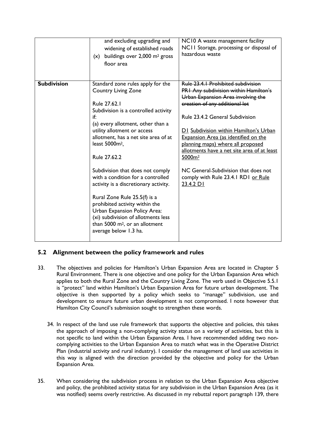|                    | and excluding upgrading and<br>widening of established roads<br>buildings over 2,000 m <sup>2</sup> gross<br>(x)<br>floor area                                                                                                                                                                                                                                                                                                                                                                                                                                                                                    | NC10 A waste management facility<br>NC11 Storage, processing or disposal of<br>hazardous waste                                                                                                                                                                                                                                                                                                                                                                                                      |
|--------------------|-------------------------------------------------------------------------------------------------------------------------------------------------------------------------------------------------------------------------------------------------------------------------------------------------------------------------------------------------------------------------------------------------------------------------------------------------------------------------------------------------------------------------------------------------------------------------------------------------------------------|-----------------------------------------------------------------------------------------------------------------------------------------------------------------------------------------------------------------------------------------------------------------------------------------------------------------------------------------------------------------------------------------------------------------------------------------------------------------------------------------------------|
| <b>Subdivision</b> | Standard zone rules apply for the<br><b>Country Living Zone</b><br>Rule 27.62.1<br>Subdivision is a controlled activity<br>if:<br>(a) every allotment, other than a<br>utility allotment or access<br>allotment, has a net site area of at<br>least 5000m <sup>2</sup> ,<br>Rule 27.62.2<br>Subdivision that does not comply<br>with a condition for a controlled<br>activity is a discretionary activity.<br>Rural Zone Rule 25.5(f) is a<br>prohibited activity within the<br>Urban Expansion Policy Area:<br>(xi) subdivision of allotments less<br>than 5000 $m^2$ , or an allotment<br>average below 1.3 ha. | <b>Rule 23.4.1 Prohibited subdivision</b><br>PRI Any subdivision within Hamilton's<br>Urban Expansion Area involving the<br>creation of any additional lot<br>Rule 23.4.2 General Subdivision<br>DI Subdivision within Hamilton's Urban<br><b>Expansion Area (as identified on the</b><br>planning maps) where all proposed<br>allotments have a net site area of at least<br>5000m <sup>2</sup><br>NC General-Subdivision that does not<br>comply with Rule 23.4.1 RD1 or Rule<br><u>23.4.2 DI</u> |

### <span id="page-13-0"></span>**5.2 Alignment between the policy framework and rules**

- 33. The objectives and policies for Hamilton's Urban Expansion Area are located in Chapter 5 Rural Environment. There is one objective and one policy for the Urban Expansion Area which applies to both the Rural Zone and the Country Living Zone. The verb used in Objective 5.5.1 is "protect" land within Hamilton's Urban Expansion Area for future urban development. The objective is then supported by a policy which seeks to "manage" subdivision, use and development to ensure future urban development is not compromised. I note however that Hamilton City Council's submission sought to strengthen these words.
	- 34. In respect of the land use rule framework that supports the objective and policies, this takes the approach of imposing a non-complying activity status on a variety of activities, but this is not specific to land within the Urban Expansion Area. I have recommended adding two noncomplying activities to the Urban Expansion Area to match what was in the Operative District Plan (industrial activity and rural industry). I consider the management of land use activities in this way is aligned with the direction provided by the objective and policy for the Urban Expansion Area.
- 35. When considering the subdivision process in relation to the Urban Expansion Area objective and policy, the prohibited activity status for any subdivision in the Urban Expansion Area (as it was notified) seems overly restrictive. As discussed in my rebuttal report paragraph 139, there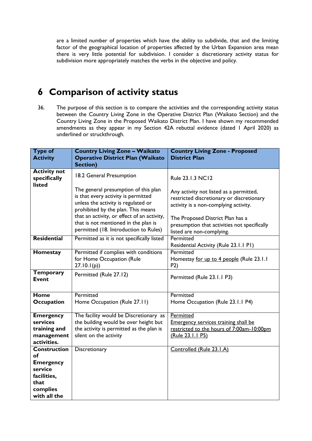are a limited number of properties which have the ability to subdivide, that and the limiting factor of the geographical location of properties affected by the Urban Expansion area mean there is very little potential for subdivision. I consider a discretionary activity status for subdivision more appropriately matches the verbs in the objective and policy.

### <span id="page-14-0"></span>**6 Comparison of activity status**

36. The purpose of this section is to compare the activities and the corresponding activity status between the Country Living Zone in the Operative District Plan (Waikato Section) and the Country Living Zone in the Proposed Waikato District Plan. I have shown my recommended amendments as they appear in my Section 42A rebuttal evidence (dated 1 April 2020) as underlined or struckthrough.

| <b>Type of</b>                                                                                              | <b>Country Living Zone - Waikato</b>                                                                                                                     | <b>Country Living Zone - Proposed</b>                                                                                         |
|-------------------------------------------------------------------------------------------------------------|----------------------------------------------------------------------------------------------------------------------------------------------------------|-------------------------------------------------------------------------------------------------------------------------------|
| <b>Activity</b>                                                                                             | <b>Operative District Plan (Waikato</b><br><b>Section)</b>                                                                                               | <b>District Plan</b>                                                                                                          |
| <b>Activity not</b><br>specifically<br><b>listed</b>                                                        | 18.2 General Presumption                                                                                                                                 | Rule 23.1.3 NC12                                                                                                              |
|                                                                                                             | The general presumption of this plan<br>is that every activity is permitted<br>unless the activity is regulated or<br>prohibited by the plan. This means | Any activity not listed as a permitted,<br>restricted discretionary or discretionary<br>activity is a non-complying activity. |
|                                                                                                             | that an activity, or effect of an activity,<br>that is not mentioned in the plan is<br>permitted (18. Introduction to Rules)                             | The Proposed District Plan has a<br>presumption that activities not specifically<br>listed are non-complying.                 |
| Residential                                                                                                 | Permitted as it is not specifically listed                                                                                                               | Permitted<br>Residential Activity (Rule 23.1.1 P1)                                                                            |
| Homestay                                                                                                    | Permitted if complies with conditions<br>for Home Occupation (Rule<br>27.10.1(p)                                                                         | Permitted<br>Homestay for up to 4 people (Rule 23.1.1<br>P2)                                                                  |
| <b>Temporary</b><br><b>Event</b>                                                                            | Permitted (Rule 27.12)                                                                                                                                   | Permitted (Rule 23.1.1 P3)                                                                                                    |
| Home<br><b>Occupation</b>                                                                                   | Permitted<br>Home Occupation (Rule 27.11)                                                                                                                | Permitted<br>Home Occupation (Rule 23.1.1 P4)                                                                                 |
| <b>Emergency</b><br>services<br>training and<br>management<br>activities.                                   | The facility would be Discretionary as<br>the building would be over height but<br>the activity is permitted as the plan is<br>silent on the activity    | Permitted<br>Emergency services training shall be<br>restricted to the hours of 7:00am-10:00pm<br>(Rule 23.1.1 P5)            |
| <b>Construction</b><br>of<br><b>Emergency</b><br>service<br>facilities,<br>that<br>complies<br>with all the | Discretionary                                                                                                                                            | Controlled (Rule 23.1.A)                                                                                                      |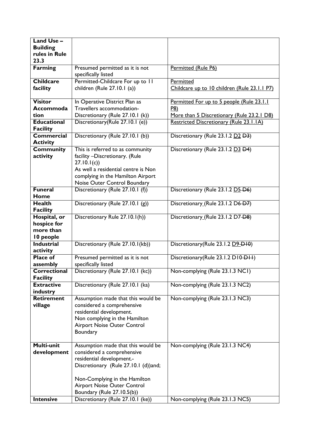| <b>Land Use -</b>        |                                                            |                                                  |
|--------------------------|------------------------------------------------------------|--------------------------------------------------|
| <b>Building</b>          |                                                            |                                                  |
| rules in Rule            |                                                            |                                                  |
| 23.3                     |                                                            |                                                  |
| <b>Farming</b>           | Presumed permitted as it is not                            | Permitted (Rule P6)                              |
|                          | specifically listed                                        |                                                  |
| <b>Childcare</b>         | Permitted-Childcare For up to 11                           | Permitted                                        |
| facility                 | children (Rule 27.10.1 (a))                                | Childcare up to 10 children (Rule 23.1.1 P7)     |
| <b>Visitor</b>           |                                                            |                                                  |
| Accommoda                | In Operative District Plan as<br>Travellers accommodation- | Permitted For up to 5 people (Rule 23.1.1<br>P8) |
| tion                     | Discretionary (Rule 27.10.1 (k))                           | More than 5 Discretionary (Rule 23.2.1 D8)       |
| <b>Educational</b>       | Discretionary(Rule 27.10.1 (e))                            | Restricted Discretionary (Rule 23.1.1A)          |
| <b>Facility</b>          |                                                            |                                                  |
| <b>Commercial</b>        | Discretionary (Rule 27.10.1 (b))                           | Discretionary (Rule 23.1.2 D2 D3)                |
| <b>Activity</b>          |                                                            |                                                  |
| <b>Community</b>         | This is referred to as community                           | Discretionary (Rule 23.1.2 D3 D4)                |
| activity                 | facility -Discretionary. (Rule                             |                                                  |
|                          | 27.10.1(c)                                                 |                                                  |
|                          | As well a residential centre is Non                        |                                                  |
|                          | complying in the Hamilton Airport                          |                                                  |
|                          | Noise Outer Control Boundary                               |                                                  |
| <b>Funeral</b>           | Discretionary (Rule 27.10.1 (f))                           | Discretionary (Rule 23.1.2 D5-D6)                |
| Home                     |                                                            |                                                  |
| <b>Health</b>            | Discretionary (Rule 27.10.1 (g))                           | Discretionary (Rule 23.1.2 D6-D7)                |
| <b>Facility</b>          |                                                            |                                                  |
| Hospital, or             | Discretionary Rule 27.10.1(h))                             | Discretionary (Rule 23.1.2 D7-D8)                |
| hospice for<br>more than |                                                            |                                                  |
| 10 people                |                                                            |                                                  |
| <b>Industrial</b>        | Discretionary (Rule 27.10.1(kb))                           | Discretionary (Rule 23.1.2 D9-D10)               |
| activity                 |                                                            |                                                  |
| <b>Place of</b>          | Presumed permitted as it is not                            | Discretionary(Rule 23.1.2 D10-DH)                |
| assembly                 | specifically listed                                        |                                                  |
| Correctional             | Discretionary (Rule 27.10.1 (kc))                          | Non-complying (Rule 23.1.3 NCI)                  |
| <b>Facility</b>          |                                                            |                                                  |
| <b>Extractive</b>        | Discretionary (Rule 27.10.1 (ka)                           | Non-complying (Rule 23.1.3 NC2)                  |
| industry                 |                                                            |                                                  |
| <b>Retirement</b>        | Assumption made that this would be                         | Non-complying (Rule 23.1.3 NC3)                  |
| village                  | considered a comprehensive                                 |                                                  |
|                          | residential development.                                   |                                                  |
|                          | Non complying in the Hamilton                              |                                                  |
|                          | Airport Noise Outer Control                                |                                                  |
|                          | Boundary                                                   |                                                  |
| Multi-unit               | Assumption made that this would be                         | Non-complying (Rule 23.1.3 NC4)                  |
| development              | considered a comprehensive                                 |                                                  |
|                          | residential development.-                                  |                                                  |
|                          | Discretionary (Rule 27.10.1 (d))and;                       |                                                  |
|                          |                                                            |                                                  |
|                          | Non-Complying in the Hamilton                              |                                                  |
|                          | Airport Noise Outer Control                                |                                                  |
|                          | Boundary (Rule 27.10.5(b))                                 |                                                  |
| <b>Intensive</b>         | Discretionary (Rule 27.10.1 (ke))                          | Non-complying (Rule 23.1.3 NC5)                  |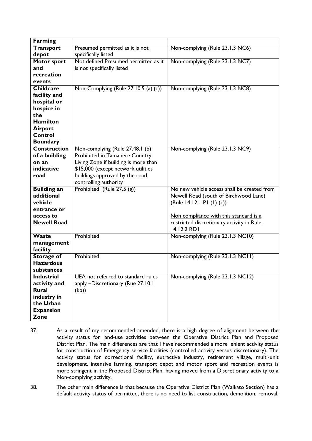| <b>Farming</b>      |                                      |                                             |
|---------------------|--------------------------------------|---------------------------------------------|
| <b>Transport</b>    | Presumed permitted as it is not      | Non-complying (Rule 23.1.3 NC6)             |
| depot               | specifically listed                  |                                             |
| <b>Motor sport</b>  | Not defined Presumed permitted as it | Non-complying (Rule 23.1.3 NC7)             |
| and                 | is not specifically listed           |                                             |
| recreation          |                                      |                                             |
| events              |                                      |                                             |
| <b>Childcare</b>    | Non-Complying (Rule 27.10.5 (a),(c)) | Non-complying (Rule 23.1.3 NC8)             |
| facility and        |                                      |                                             |
| hospital or         |                                      |                                             |
| hospice in          |                                      |                                             |
| the                 |                                      |                                             |
| <b>Hamilton</b>     |                                      |                                             |
| <b>Airport</b>      |                                      |                                             |
| <b>Control</b>      |                                      |                                             |
| <b>Boundary</b>     |                                      |                                             |
| <b>Construction</b> | Non-complying (Rule 27.48.1 (b)      | Non-complying (Rule 23.1.3 NC9)             |
| of a building       | Prohibited in Tamahere Country       |                                             |
| on an               | Living Zone if building is more than |                                             |
| indicative          | \$15,000 (except network utilities   |                                             |
| road                | buildings approved by the road       |                                             |
|                     | controlling authority                |                                             |
| <b>Building an</b>  | Prohibited (Rule $27.5$ (g))         | No new vehicle access shall be created from |
| additional          |                                      | Newell Road (south of Birchwood Lane)       |
| vehicle             |                                      | (Rule 14.12.1 P1 (1) (c))                   |
| entrance or         |                                      |                                             |
| access to           |                                      | Non compliance with this standard is a      |
| <b>Newell Road</b>  |                                      | restricted discretionary activity in Rule   |
|                     |                                      | 14.12.2 RD1                                 |
| Waste               | Prohibited                           | Non-complying (Rule 23.1.3 NC10)            |
| management          |                                      |                                             |
| facility            |                                      |                                             |
| <b>Storage of</b>   | Prohibited                           | Non-complying (Rule 23.1.3 NC11)            |
| <b>Hazardous</b>    |                                      |                                             |
| substances          |                                      |                                             |
| <b>Industrial</b>   | UEA not referred to standard rules   | Non-complying (Rule 23.1.3 NC12)            |
| activity and        | apply -Discretionary (Rue 27.10.1    |                                             |
| <b>Rural</b>        | (kb)                                 |                                             |
| industry in         |                                      |                                             |
| the Urban           |                                      |                                             |
| <b>Expansion</b>    |                                      |                                             |
| Zone                |                                      |                                             |

- 37. As a result of my recommended amended, there is a high degree of alignment between the activity status for land-use activities between the Operative District Plan and Proposed District Plan. The main differences are that I have recommended a more lenient activity status for construction of Emergency service facilities (controlled activity versus discretionary). The activity status for correctional facility, extractive industry, retirement village, multi-unit development, intensive farming, transport depot and motor sport and recreation events is more stringent in the Proposed District Plan, having moved from a Discretionary activity to a Non-complying activity.
- 38. The other main difference is that because the Operative District Plan (Waikato Section) has a default activity status of permitted, there is no need to list construction, demolition, removal,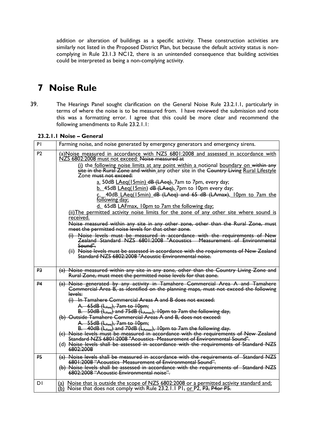addition or alteration of buildings as a specific activity. These construction activities are similarly not listed in the Proposed District Plan, but because the default activity status is noncomplying in Rule 23.1.3 NC12, there is an unintended consequence that building activities could be interpreted as being a non-complying activity.

### <span id="page-17-0"></span>**7 Noise Rule**

39. The Hearings Panel sought clarification on the General Noise Rule 23.2.1.1, particularly in terms of where the noise is to be measured from. I have reviewed the submission and note this was a formatting error. I agree that this could be more clear and recommend the following amendments to Rule 23.2.1.1:

**23.2.1.1 Noise – General** 

| PI             | Farming noise, and noise generated by emergency generators and emergency sirens.                                                                                                                                                                                                                                                                                                                                                                                                                                                                                                                                                                                                                                                                                                                                                                                                                                                                                                                                                                                                                                                                                                                   |
|----------------|----------------------------------------------------------------------------------------------------------------------------------------------------------------------------------------------------------------------------------------------------------------------------------------------------------------------------------------------------------------------------------------------------------------------------------------------------------------------------------------------------------------------------------------------------------------------------------------------------------------------------------------------------------------------------------------------------------------------------------------------------------------------------------------------------------------------------------------------------------------------------------------------------------------------------------------------------------------------------------------------------------------------------------------------------------------------------------------------------------------------------------------------------------------------------------------------------|
| P <sub>2</sub> | (a) Noise measured in accordance with NZS 6801:2008 and assessed in accordance with<br>NZS 6802:2008 must not exceed: Noise measured at<br>(i) the following noise limits at any point within a notional boundary on within any<br>site in the Rural Zone and within any other site in the Country Living Rural Lifestyle<br>Zone <del>must not exceed:</del><br>a. 50dB LAeg(15min) dB (LAeg), 7am to 7pm, every day;<br>b. 45dB LAeg(15min) dB (LAeg), 7pm to 10pm every day;<br>c. 40dB LAeg(15min) dB (LAeg) and 65 dB (LAmax), 10pm to 7am the<br>following day;<br>d. 65dB LAFmax, 10pm to 7am the following day:<br>(ii) The permitted activity noise limits for the zone of any other site where sound is<br>received.<br>Noise measured within any site in any other zone, other than the Rural Zone, must<br>meet the permitted noise levels for that other zone.<br>(i) Noise levels must be measured in accordance with the requirements of New<br>Zealand Standard NZS 6801:2008 "Acoustics Measurement of Environmental<br>Sound".<br>(ii) Noise levels must be assessed in accordance with the requirements of New Zealand<br>Standard NZS 6802:2008 "Acoustic Environmental noise. |
| <b>P3</b>      | (a) Noise measured within any site in any zone, other than the Country Living Zone and<br>Rural Zone, must meet the permitted noise levels for that zone.                                                                                                                                                                                                                                                                                                                                                                                                                                                                                                                                                                                                                                                                                                                                                                                                                                                                                                                                                                                                                                          |
| <b>P4</b>      | (a) Noise generated by any activity in Tamahere Commercial Area A and Tamahere<br>Commercial Area B, as identified on the planning maps, must not exceed the following<br>levels:<br>(i) In Tamahere Commercial Areas A and B does not exceed:<br>A. $65dB$ ( $L_{Aeq}$ ), 7am to 10pm;<br>B. 50dB $(LAeq)$ and 75dB $(LAmax)$ , 10pm to 7am the following day,<br>(b) Outside Tamahere Commercial Areas A and B, does not exceed:<br>A. 55dB (LAeg), 7am to 10pm;<br>B. $40dB$ (L <sub>Aeg</sub> ) and 70dB (L <sub>Amax</sub> ), 10pm to 7am the following day.<br>(c) Noise levels must be measured in accordance with the requirements of New Zealand<br>Standard NZS 6801:2008 "Acoustics Measurement of Environmental Sound".<br>(d) Noise levels shall be assessed in accordance with the requirements of Standard NZS<br>6802:2008                                                                                                                                                                                                                                                                                                                                                         |
| P5             | (a) Noise levels shall be measured in accordance with the requirements of Standard NZS<br>6801:2008 "Acoustics Measurement of Environmental Sound".<br>(b) Noise levels shall be assessed in accordance with the requirements of Standard NZS<br>6802:2008 "Acoustic Environmental noise".                                                                                                                                                                                                                                                                                                                                                                                                                                                                                                                                                                                                                                                                                                                                                                                                                                                                                                         |
| DΙ             | (a) Noise that is outside the scope of NZS 6802:2008 or a permitted activity standard and;<br>(b) Noise that does not comply with Rule 23.2.1.1 P1, or P2, P3, P4or P5.                                                                                                                                                                                                                                                                                                                                                                                                                                                                                                                                                                                                                                                                                                                                                                                                                                                                                                                                                                                                                            |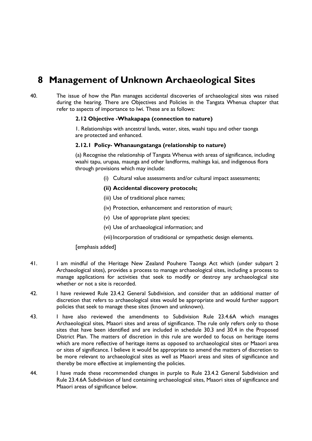### <span id="page-18-0"></span>**8 Management of Unknown Archaeological Sites**

40. The issue of how the Plan manages accidental discoveries of archaeological sites was raised during the hearing. There are Objectives and Policies in the Tangata Whenua chapter that refer to aspects of importance to Iwi. These are as follows:

#### **2.12 Objective -Whakapapa (connection to nature)**

1. Relationships with ancestral lands, water, sites, waahi tapu and other taonga are protected and enhanced.

#### **2.12.1 Policy- Whanaungatanga (relationship to nature)**

(a) Recognise the relationship of Tangata Whenua with areas of significance, including waahi tapu, urupaa, maunga and other landforms, mahinga kai, and indigenous flora through provisions which may include:

(i) Cultural value assessments and/or cultural impact assessments;

#### **(ii) Accidental discovery protocols;**

- (iii) Use of traditional place names;
- (iv) Protection, enhancement and restoration of mauri;
- (v) Use of appropriate plant species;
- (vi) Use of archaeological information; and
- (vii) Incorporation of traditional or sympathetic design elements.

#### [emphasis added]

- 41. I am mindful of the Heritage New Zealand Pouhere Taonga Act which (under subpart 2 Archaeological sites), provides a process to manage archaeological sites, including a process to manage applications for activities that seek to modify or destroy any archaeological site whether or not a site is recorded.
- 42. I have reviewed Rule 23.4.2 General Subdivision, and consider that an additional matter of discretion that refers to archaeological sites would be appropriate and would further support policies that seek to manage these sites (known and unknown).
- 43. I have also reviewed the amendments to Subdivision Rule 23.4.6A which manages Archaeological sites, Maaori sites and areas of significance. The rule only refers only to those sites that have been identified and are included in schedule 30.3 and 30.4 in the Proposed District Plan. The matters of discretion in this rule are worded to focus on heritage items which are more reflective of heritage items as opposed to archaeological sites or Maaori area or sites of significance. I believe it would be appropriate to amend the matters of discretion to be more relevant to archaeological sites as well as Maaori areas and sites of significance and thereby be more effective at implementing the policies.
- 44. I have made these recommended changes in purple to Rule 23.4.2 General Subdivision and Rule 23.4.6A Subdivision of land containing archaeological sites, Maaori sites of significance and Maaori areas of significance below.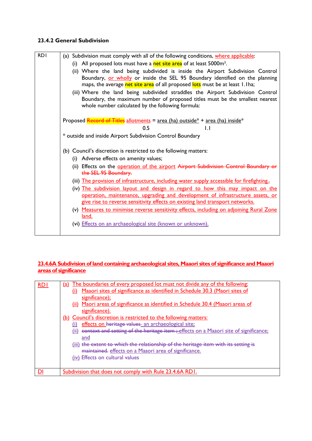### **23.4.2 General Subdivision**

| <b>RDI</b> | (a) Subdivision must comply with all of the following conditions, where applicable:<br>(i) All proposed lots must have a net site area of at least 5000m <sup>2</sup> . |
|------------|-------------------------------------------------------------------------------------------------------------------------------------------------------------------------|
|            |                                                                                                                                                                         |
|            | (ii) Where the land being subdivided is inside the Airport Subdivision Control                                                                                          |
|            | Boundary, or wholly or inside the SEL 95 Boundary identified on the planning<br>maps, the average net site area of all proposed lots must be at least 1.1ha;            |
|            | (iii) Where the land being subdivided straddles the Airport Subdivision Control                                                                                         |
|            | Boundary, the maximum number of proposed titles must be the smallest nearest                                                                                            |
|            | whole number calculated by the following formula:                                                                                                                       |
|            |                                                                                                                                                                         |
|            | Proposed Record of Titles allotments = area (ha) outside <sup>*</sup> + area (ha) inside <sup>*</sup>                                                                   |
|            | 0.5<br>1.1                                                                                                                                                              |
|            | * outside and inside Airport Subdivision Control Boundary                                                                                                               |
|            |                                                                                                                                                                         |
|            | (b) Council's discretion is restricted to the following matters:                                                                                                        |
|            | (i) Adverse effects on amenity values;                                                                                                                                  |
|            | (ii) Effects on the operation of the airport Airport Subdivision Control Boundary or                                                                                    |
|            | the SEL 95 Boundary.                                                                                                                                                    |
|            | (iii) The provision of infrastructure, including water supply accessible for firefighting.                                                                              |
|            | (iv) The subdivision layout and design in regard to how this may impact on the                                                                                          |
|            | operation, maintenance, upgrading and development of infrastructure assets, or                                                                                          |
|            | give rise to reverse sensitivity effects on existing land transport networks.                                                                                           |
|            | (v) Measures to minimise reverse sensitivity effects, including on adjoining Rural Zone                                                                                 |
|            | land.                                                                                                                                                                   |
|            | (vi) Effects on an archaeological site (known or unknown).                                                                                                              |
|            |                                                                                                                                                                         |
|            |                                                                                                                                                                         |

### **23.4.6A Subdivision of land containing archaeological sites, Maaori sites of significance and Maaori areas of significance**

| <b>RDI</b> | (a) The boundaries of every proposed lot must not divide any of the following:<br>Maaori sites of significance as identified in Schedule 30.3 (Maori sites of<br>significance);<br>(ii) Maori areas of significance as identified in Schedule 30.4 (Maaori areas of<br>significance).<br>(b) Council's discretion is restricted to the following matters:<br>effects on heritage values- an archaeological site;<br>(i)<br>context and setting of the heritage item; effects on a Maaori site of significance;<br><u>(ii)</u><br>and<br>(iii) the extent to which the relationship of the heritage item with its setting is |
|------------|-----------------------------------------------------------------------------------------------------------------------------------------------------------------------------------------------------------------------------------------------------------------------------------------------------------------------------------------------------------------------------------------------------------------------------------------------------------------------------------------------------------------------------------------------------------------------------------------------------------------------------|
|            | maintained. effects on a Maaori area of significance.<br>(iv) Effects on cultural values                                                                                                                                                                                                                                                                                                                                                                                                                                                                                                                                    |
|            |                                                                                                                                                                                                                                                                                                                                                                                                                                                                                                                                                                                                                             |
|            | Subdivision that does not comply with Rule 23.4.6A RD1.                                                                                                                                                                                                                                                                                                                                                                                                                                                                                                                                                                     |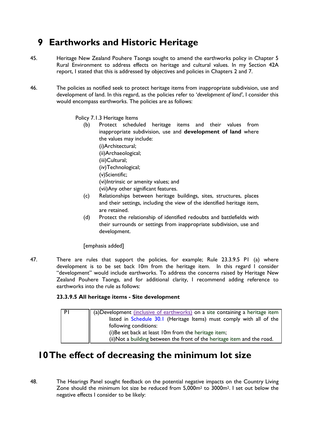### <span id="page-20-0"></span>**9 Earthworks and Historic Heritage**

- 45. Heritage New Zealand Pouhere Taonga sought to amend the earthworks policy in Chapter 5 Rural Environment to address effects on heritage and cultural values. In my Section 42A report, I stated that this is addressed by objectives and policies in Chapters 2 and 7.
- 46. The policies as notified seek to protect heritage items from inappropriate subdivision, use and development of land. In this regard, as the policies refer to '*development of land'*, I consider this would encompass earthworks. The policies are as follows:

Policy 7.1.3 Heritage Items

- (b) Protect scheduled heritage items and their values from inappropriate subdivision, use and **development of land** where the values may include: (i)Architectural; (ii)Archaeological;
	- (iii)Cultural;
	- (iv)Technological;
	- (v)Scientific;
	- (vi)Intrinsic or amenity values; and
	- (vii)Any other significant features.
- (c) Relationships between heritage buildings, sites, structures, places and their settings, including the view of the identified heritage item, are retained.
- (d) Protect the relationship of identified redoubts and battlefields with their surrounds or settings from inappropriate subdivision, use and development.

[emphasis added]

47. There are rules that support the policies, for example; Rule 23.3.9.5 P1 (a) where development is to be set back 10m from the heritage item. In this regard I consider "development" would include earthworks. To address the concerns raised by Heritage New Zealand Pouhere Taonga, and for additional clarity, I recommend adding reference to earthworks into the rule as follows:

### **23.3.9.5 All heritage items - Site development**

| PI | (a)Development <i>(inclusive of earthworks)</i> on a site containing a heritage item<br>listed in Schedule 30.1 (Heritage Items) must comply with all of the<br>following conditions: |
|----|---------------------------------------------------------------------------------------------------------------------------------------------------------------------------------------|
|    | (i) Be set back at least 10m from the heritage item;<br>(ii) Not a building between the front of the heritage item and the road.                                                      |

### <span id="page-20-1"></span>**10The effect of decreasing the minimum lot size**

48. The Hearings Panel sought feedback on the potential negative impacts on the Country Living Zone should the minimum lot size be reduced from 5,000m2 to 3000m2. I set out below the negative effects I consider to be likely: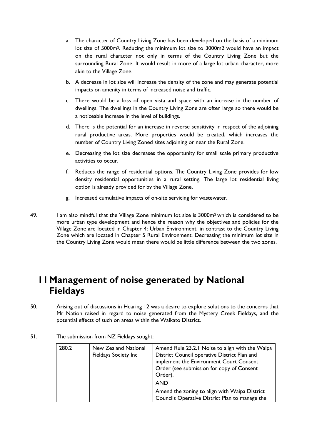- a. The character of Country Living Zone has been developed on the basis of a minimum lot size of 5000m2. Reducing the minimum lot size to 3000m2 would have an impact on the rural character not only in terms of the Country Living Zone but the surrounding Rural Zone. It would result in more of a large lot urban character, more akin to the Village Zone.
- b. A decrease in lot size will increase the density of the zone and may generate potential impacts on amenity in terms of increased noise and traffic.
- c. There would be a loss of open vista and space with an increase in the number of dwellings. The dwellings in the Country Living Zone are often large so there would be a noticeable increase in the level of buildings.
- d. There is the potential for an increase in reverse sensitivity in respect of the adjoining rural productive areas. More properties would be created, which increases the number of Country Living Zoned sites adjoining or near the Rural Zone.
- e. Decreasing the lot size decreases the opportunity for small scale primary productive activities to occur.
- f. Reduces the range of residential options. The Country Living Zone provides for low density residential opportunities in a rural setting. The large lot residential living option is already provided for by the Village Zone.
- g. Increased cumulative impacts of on-site servicing for wastewater.
- 49. I am also mindful that the Village Zone minimum lot size is 3000m<sup>2</sup> which is considered to be more urban type development and hence the reason why the objectives and policies for the Village Zone are located in Chapter 4: Urban Environment, in contrast to the Country Living Zone which are located in Chapter 5 Rural Environment. Decreasing the minimum lot size in the Country Living Zone would mean there would be little difference between the two zones.

### <span id="page-21-0"></span>**11Management of noise generated by National Fieldays**

50. Arising out of discussions in Hearing 12 was a desire to explore solutions to the concerns that Mr Nation raised in regard to noise generated from the Mystery Creek Fieldays, and the potential effects of such on areas within the Waikato District.

|  | 280.2 | New Zealand National<br>Fieldays Society Inc | Amend Rule 23.2.1 Noise to align with the Waipa<br>District Council operative District Plan and<br>implement the Environment Court Consent<br>Order (see submission for copy of Consent<br>Order).<br>AND |
|--|-------|----------------------------------------------|-----------------------------------------------------------------------------------------------------------------------------------------------------------------------------------------------------------|
|  |       |                                              | Amend the zoning to align with Waipa District<br>Councils Operative District Plan to manage the                                                                                                           |

51. The submission from NZ Fieldays sought: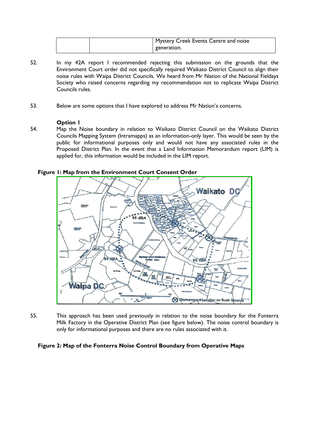|  | Mystery Creek Events Centre and noise |
|--|---------------------------------------|
|  | generation.                           |

- 52. In my 42A report I recommended rejecting this submission on the grounds that the Environment Court order did not specifically required Waikato District Council to align their noise rules with Waipa District Councils. We heard from Mr Nation of the National Fieldays Society who raised concerns regarding my recommendation not to replicate Waipa District Councils rules.
- 53. Below are some options that I have explored to address Mr Nation's concerns.

#### **Option 1**

54. Map the Noise boundary in relation to Waikato District Council on the Waikato District Councils Mapping System (Intramapps) as an information-only layer. This would be seen by the public for informational purposes only and would not have any associated rules in the Proposed District Plan. In the event that a Land Information Memorandum report (LIM) is applied for, this information would be included in the LIM report.



**Figure 1: Map from the Environment Court Consent Order**

55. This approach has been used previously in relation to the noise boundary for the Fonterra Milk Factory in the Operative District Plan (see figure below). The noise control boundary is only for informational purposes and there are no rules associated with it.

### **Figure 2: Map of the Fonterra Noise Control Boundary from Operative Maps**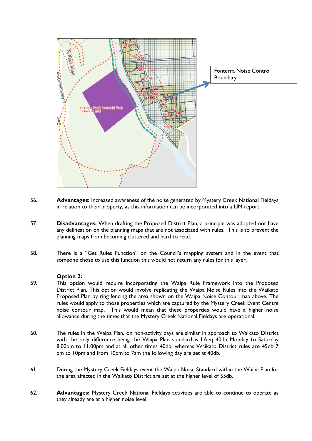

- 56. **Advantages:** Increased awareness of the noise generated by Mystery Creek National Fieldays in relation to their property, as this information can be incorporated into a LIM report.
- 57. **Disadvantages:** When drafting the Proposed District Plan, a principle was adopted not have any delineation on the planning maps that are not associated with rules. This is to prevent the planning maps from becoming cluttered and hard to read.
- 58. There is a "Get Rules Function" on the Council's mapping system and in the event that someone chose to use this function this would not return any rules for this layer.

#### **Option 2:**

- 59. This option would require incorporating the Waipa Rule Framework into the Proposed District Plan. This option would involve replicating the Waipa Noise Rules into the Waikato Proposed Plan by ring fencing the area shown on the Waipa Noise Contour map above. The rules would apply to those properties which are captured by the Mystery Creek Event Centre noise contour map. This would mean that these properties would have a higher noise allowance during the times that the Mystery Creek National Fieldays are operational.
- 60. The rules in the Waipa Plan, on non-activity days are similar in approach to Waikato District with the only difference being the Waipa Plan standard is LAeq 40db Monday to Saturday 8.00pm to 11.00pm and at all other times 40db, whereas Waikato District rules are 45db 7 pm to 10pm and from 10pm to 7am the following day are set at 40db.
- 61. During the Mystery Creek Fieldays event the Waipa Noise Standard within the Waipa Plan for the area affected in the Waikato District are set at the higher level of 55db.
- 62. **Advantages:** Mystery Creek National Fieldays activities are able to continue to operate as they already are at a higher noise level.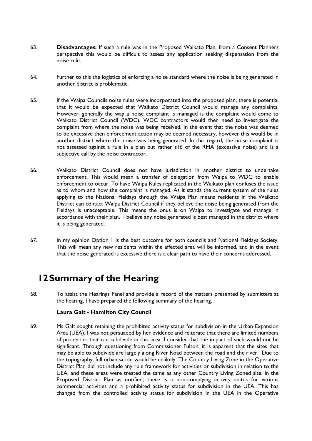- 63. **Disadvantages:** If such a rule was in the Proposed Waikato Plan, from a Consent Planners perspective this would be difficult to assess any application seeking dispensation from the noise rule.
- 64. Further to this the logistics of enforcing a noise standard where the noise is being generated in another district is problematic.
- 65. If the Waipa Councils noise rules were incorporated into the proposed plan, there is potential that it would be expected that Waikato District Council would manage any complaints. However, generally the way a noise complaint is managed is the complaint would come to Waikato District Council (WDC). WDC contractors would then need to investigate the complaint from where the noise was being received. In the event that the noise was deemed to be excessive then enforcement action may be deemed necessary, however this would be in another district where the noise was being generated. In this regard, the noise complaint is not assessed against a rule in a plan but rather s16 of the RMA (excessive noise) and is a subjective call by the noise contractor.
- 66. Waikato District Council does not have jurisdiction in another district to undertake enforcement. This would mean a transfer of delegation from Waipa to WDC to enable enforcement to occur. To have Waipa Rules replicated in the Waikato plan confuses the issue as to whom and how the complaint is managed. As it stands the current system of the rules applying to the National Fieldays through the Waipa Plan means residents in the Waikato District can contact Waipa District Council if they believe the noise being generated from the Fieldays is unacceptable. This means the onus is on Waipa to investigate and manage in accordance with their plan. I believe any noise generated is best managed in the district where it is being generated.
- 67. In my opinion Option I is the best outcome for both councils and National Fieldays Society. This will mean any new residents within the affected area will be informed, and in the event that the noise generated is excessive there is a clear path to have their concerns addressed.

### <span id="page-24-0"></span>**12Summary of the Hearing**

68. To assist the Hearings Panel and provide a record of the matters presented by submitters at the hearing, I have prepared the following summary of the hearing.

#### **Laura Galt - Hamilton City Council**

69. Ms Galt sought retaining the prohibited activity status for subdivision in the Urban Expansion Area (UEA). I was not persuaded by her evidence and reiterate that there are limited numbers of properties that can subdivide in this area. I consider that the impact of such would not be significant. Through questioning from Commissioner Fulton, it is apparent that the sites that may be able to subdivide are largely along River Road between the road and the river. Due to the topography, full urbanisation would be unlikely. The Country Living Zone in the Operative District Plan did not include any rule framework for activities or subdivision in relation to the UEA, and these areas were treated the same as any other Country Living Zoned site. In the Proposed District Plan as notified, there is a non-complying activity status for various commercial activities and a prohibited activity status for subdivision in the UEA. This has changed from the controlled activity status for subdivision in the UEA in the Operative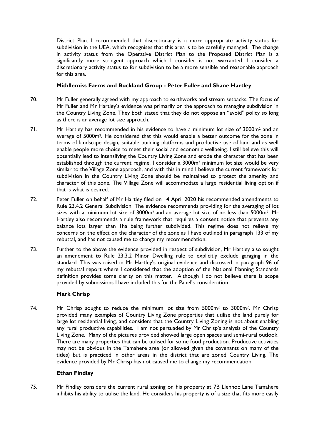District Plan. I recommended that discretionary is a more appropriate activity status for subdivision in the UEA, which recognises that this area is to be carefully managed. The change in activity status from the Operative District Plan to the Proposed District Plan is a significantly more stringent approach which I consider is not warranted. I consider a discretionary activity status to for subdivision to be a more sensible and reasonable approach for this area.

### **Middlemiss Farms and Buckland Group - Peter Fuller and Shane Hartley**

- 70. Mr Fuller generally agreed with my approach to earthworks and stream setbacks. The focus of Mr Fuller and Mr Hartley's evidence was primarily on the approach to managing subdivision in the Country Living Zone. They both stated that they do not oppose an "avoid" policy so long as there is an average lot size approach.
- 71. Mr Hartley has recommended in his evidence to have a minimum lot size of 3000m2 and an average of 5000m2. He considered that this would enable a better outcome for the zone in terms of landscape design, suitable building platforms and productive use of land and as well enable people more choice to meet their social and economic wellbeing. I still believe this will potentially lead to intensifying the Country Living Zone and erode the character that has been established through the current regime. I consider a 3000m<sup>2</sup> minimum lot size would be very similar to the Village Zone approach, and with this in mind I believe the current framework for subdivision in the Country Living Zone should be maintained to protect the amenity and character of this zone. The Village Zone will accommodate a large residential living option if that is what is desired.
- 72. Peter Fuller on behalf of Mr Hartley filed on 14 April 2020 his recommended amendments to Rule 23.4.2 General Subdivision. The evidence recommends providing for the averaging of lot sizes with a minimum lot size of 3000m<sup>2</sup> and an average lot size of no less than 5000m<sup>2</sup>. Mr Hartley also recommends a rule framework that requires a consent notice that prevents any balance lots larger than 1ha being further subdivided. This regime does not relieve my concerns on the effect on the character of the zone as I have outlined in paragraph 133 of my rebuttal, and has not caused me to change my recommendation.
- 73. Further to the above the evidence provided in respect of subdivision, Mr Hartley also sought an amendment to Rule 23.3.2 Minor Dwelling rule to explicitly exclude garaging in the standard. This was raised in Mr Hartley's original evidence and discussed in paragraph 96 of my rebuttal report where I considered that the adoption of the National Planning Standards definition provides some clarity on this matter. Although I do not believe there is scope provided by submissions I have included this for the Panel's consideration.

### **Mark Chrisp**

74. Mr Chrisp sought to reduce the minimum lot size from 5000m2 to 3000m2. Mr Chrisp provided many examples of Country Living Zone properties that utilise the land purely for large lot residential living, and considers that the Country Living Zoning is not about enabling any rural productive capabilities. I am not persuaded by Mr Chrisp's analysis of the Country Living Zone. Many of the pictures provided showed large open spaces and semi-rural outlook. There are many properties that can be utilised for some food production. Productive activities may not be obvious in the Tamahere area (or allowed given the covenants on many of the titles) but is practiced in other areas in the district that are zoned Country Living. The evidence provided by Mr Chrisp has not caused me to change my recommendation.

#### **Ethan Findlay**

75. Mr Findlay considers the current rural zoning on his property at 7B Llennoc Lane Tamahere inhibits his ability to utilise the land. He considers his property is of a size that fits more easily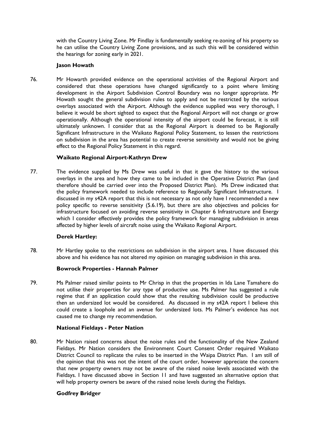with the Country Living Zone. Mr Findlay is fundamentally seeking re-zoning of his property so he can utilise the Country Living Zone provisions, and as such this will be considered within the hearings for zoning early in 2021.

#### **Jason Howath**

76. Mr Howarth provided evidence on the operational activities of the Regional Airport and considered that these operations have changed significantly to a point where limiting development in the Airport Subdivision Control Boundary was no longer appropriate. Mr Howath sought the general subdivision rules to apply and not be restricted by the various overlays associated with the Airport. Although the evidence supplied was very thorough, I believe it would be short sighted to expect that the Regional Airport will not change or grow operationally. Although the operational intensity of the airport could be forecast, it is still ultimately unknown. I consider that as the Regional Airport is deemed to be Regionally Significant Infrastructure in the Waikato Regional Policy Statement, to lessen the restrictions on subdivision in the area has potential to create reverse sensitivity and would not be giving effect to the Regional Policy Statement in this regard.

### **Waikato Regional Airport-Kathryn Drew**

77. The evidence supplied by Ms Drew was useful in that it gave the history to the various overlays in the area and how they came to be included in the Operative District Plan (and therefore should be carried over into the Proposed District Plan). Ms Drew indicated that the policy framework needed to include reference to Regionally Significant Infrastructure. I discussed in my s42A report that this is not necessary as not only have I recommended a new policy specific to reverse sensitivity (5.6.19), but there are also objectives and policies for infrastructure focused on avoiding reverse sensitivity in Chapter 6 Infrastructure and Energy which I consider effectively provides the policy framework for managing subdivision in areas affected by higher levels of aircraft noise using the Waikato Regional Airport.

### **Derek Hartley:**

78. Mr Hartley spoke to the restrictions on subdivision in the airport area. I have discussed this above and his evidence has not altered my opinion on managing subdivision in this area.

### **Bowrock Properties - Hannah Palmer**

79. Ms Palmer raised similar points to Mr Chrisp in that the properties in Ida Lane Tamahere do not utilise their properties for any type of productive use. Ms Palmer has suggested a rule regime that if an application could show that the resulting subdivision could be productive then an undersized lot would be considered. As discussed in my s42A report I believe this could create a loophole and an avenue for undersized lots. Ms Palmer's evidence has not caused me to change my recommendation.

### **National Fieldays - Peter Nation**

80. Mr Nation raised concerns about the noise rules and the functionality of the New Zealand Fieldays. Mr Nation considers the Environment Court Consent Order required Waikato District Council to replicate the rules to be inserted in the Waipa District Plan. I am still of the opinion that this was not the intent of the court order, however appreciate the concern that new property owners may not be aware of the raised noise levels associated with the Fieldays. I have discussed above in Section 11 and have suggested an alternative option that will help property owners be aware of the raised noise levels during the Fieldays.

### **Godfrey Bridger**